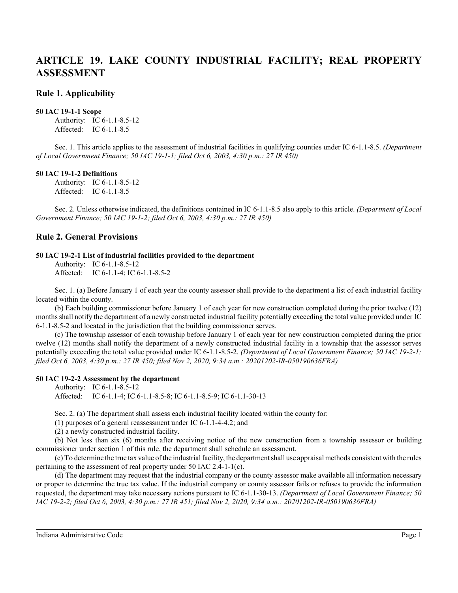# **ARTICLE 19. LAKE COUNTY INDUSTRIAL FACILITY; REAL PROPERTY ASSESSMENT**

## **Rule 1. Applicability**

#### **50 IAC 19-1-1 Scope**

Authority: IC 6-1.1-8.5-12 Affected: IC 6-1.1-8.5

Sec. 1. This article applies to the assessment of industrial facilities in qualifying counties under IC 6-1.1-8.5. *(Department of Local Government Finance; 50 IAC 19-1-1; filed Oct 6, 2003, 4:30 p.m.: 27 IR 450)*

#### **50 IAC 19-1-2 Definitions**

Authority: IC 6-1.1-8.5-12 Affected: IC 6-1.1-8.5

Sec. 2. Unless otherwise indicated, the definitions contained in IC 6-1.1-8.5 also apply to this article. *(Department of Local Government Finance; 50 IAC 19-1-2; filed Oct 6, 2003, 4:30 p.m.: 27 IR 450)*

## **Rule 2. General Provisions**

#### **50 IAC 19-2-1 List of industrial facilities provided to the department**

Authority: IC 6-1.1-8.5-12 Affected: IC 6-1.1-4; IC 6-1.1-8.5-2

Sec. 1. (a) Before January 1 of each year the county assessor shall provide to the department a list of each industrial facility located within the county.

(b) Each building commissioner before January 1 of each year for new construction completed during the prior twelve (12) monthsshall notify the department of a newly constructed industrial facility potentially exceeding the total value provided under IC 6-1.1-8.5-2 and located in the jurisdiction that the building commissioner serves.

(c) The township assessor of each township before January 1 of each year for new construction completed during the prior twelve (12) months shall notify the department of a newly constructed industrial facility in a township that the assessor serves potentially exceeding the total value provided under IC 6-1.1-8.5-2. *(Department of Local Government Finance; 50 IAC 19-2-1; filed Oct 6, 2003, 4:30 p.m.: 27 IR 450; filed Nov 2, 2020, 9:34 a.m.: 20201202-IR-050190636FRA)*

### **50 IAC 19-2-2 Assessment by the department**

Authority: IC 6-1.1-8.5-12 Affected: IC 6-1.1-4; IC 6-1.1-8.5-8; IC 6-1.1-8.5-9; IC 6-1.1-30-13

Sec. 2. (a) The department shall assess each industrial facility located within the county for:

(1) purposes of a general reassessment under IC 6-1.1-4-4.2; and

(2) a newly constructed industrial facility.

(b) Not less than six (6) months after receiving notice of the new construction from a township assessor or building commissioner under section 1 of this rule, the department shall schedule an assessment.

(c) To determine the true tax value of the industrial facility, the department shall use appraisal methods consistent with the rules pertaining to the assessment of real property under 50 IAC 2.4-1-1(c).

(d) The department may request that the industrial company or the county assessor make available all information necessary or proper to determine the true tax value. If the industrial company or county assessor fails or refuses to provide the information requested, the department may take necessary actions pursuant to IC 6-1.1-30-13. *(Department of Local Government Finance; 50 IAC 19-2-2; filed Oct 6, 2003, 4:30 p.m.: 27 IR 451; filed Nov 2, 2020, 9:34 a.m.: 20201202-IR-050190636FRA)*